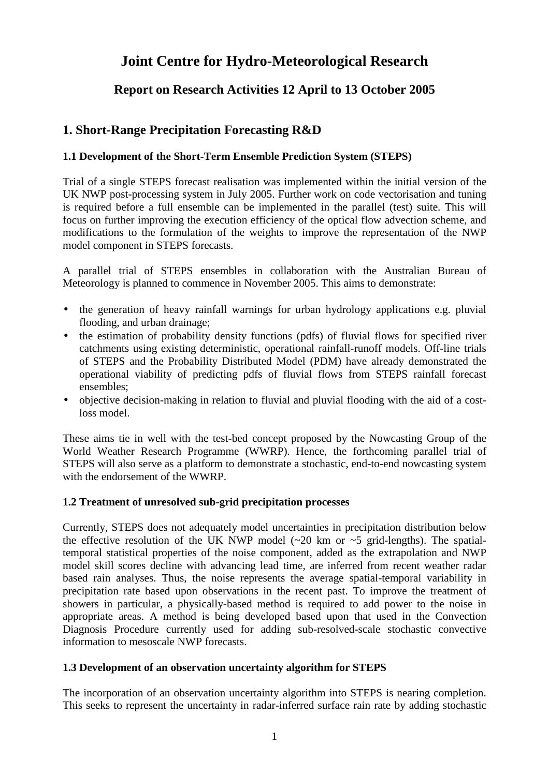# **Joint Centre for Hydro-Meteorological Research**

# **Report on Research Activities 12 April to 13 October 2005**

# **1. Short-Range Precipitation Forecasting R&D**

### **1.1 Development of the Short-Term Ensemble Prediction System (STEPS)**

Trial of a single STEPS forecast realisation was implemented within the initial version of the UK NWP post-processing system in July 2005. Further work on code vectorisation and tuning is required before a full ensemble can be implemented in the parallel (test) suite. This will focus on further improving the execution efficiency of the optical flow advection scheme, and modifications to the formulation of the weights to improve the representation of the NWP model component in STEPS forecasts.

A parallel trial of STEPS ensembles in collaboration with the Australian Bureau of Meteorology is planned to commence in November 2005. This aims to demonstrate:

- the generation of heavy rainfall warnings for urban hydrology applications e.g. pluvial flooding, and urban drainage;
- the estimation of probability density functions (pdfs) of fluvial flows for specified river catchments using existing deterministic, operational rainfall-runoff models. Off-line trials of STEPS and the Probability Distributed Model (PDM) have already demonstrated the operational viability of predicting pdfs of fluvial flows from STEPS rainfall forecast ensembles;
- objective decision-making in relation to fluvial and pluvial flooding with the aid of a costloss model.

These aims tie in well with the test-bed concept proposed by the Nowcasting Group of the World Weather Research Programme (WWRP). Hence, the forthcoming parallel trial of STEPS will also serve as a platform to demonstrate a stochastic, end-to-end nowcasting system with the endorsement of the WWRP.

### **1.2 Treatment of unresolved sub-grid precipitation processes**

Currently, STEPS does not adequately model uncertainties in precipitation distribution below the effective resolution of the UK NWP model  $(\sim 20 \text{ km or } \sim 5 \text{ grid-lengths})$ . The spatialtemporal statistical properties of the noise component, added as the extrapolation and NWP model skill scores decline with advancing lead time, are inferred from recent weather radar based rain analyses. Thus, the noise represents the average spatial-temporal variability in precipitation rate based upon observations in the recent past. To improve the treatment of showers in particular, a physically-based method is required to add power to the noise in appropriate areas. A method is being developed based upon that used in the Convection Diagnosis Procedure currently used for adding sub-resolved-scale stochastic convective information to mesoscale NWP forecasts.

### **1.3 Development of an observation uncertainty algorithm for STEPS**

The incorporation of an observation uncertainty algorithm into STEPS is nearing completion. This seeks to represent the uncertainty in radar-inferred surface rain rate by adding stochastic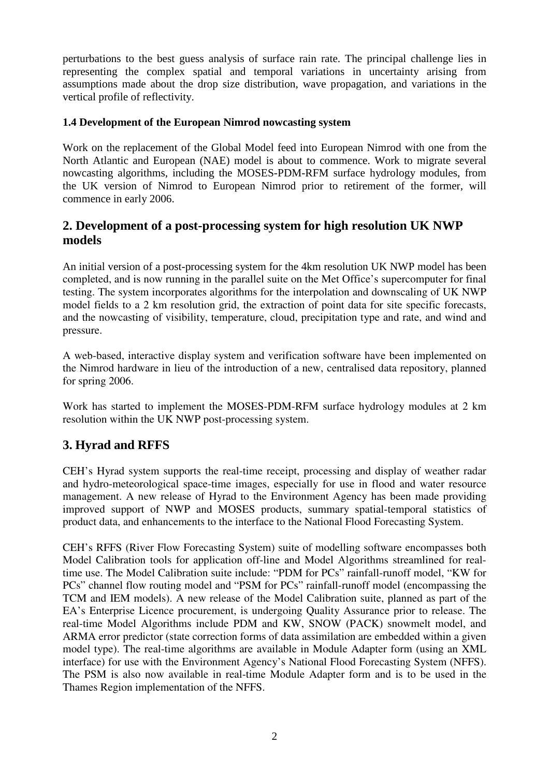perturbations to the best guess analysis of surface rain rate. The principal challenge lies in representing the complex spatial and temporal variations in uncertainty arising from assumptions made about the drop size distribution, wave propagation, and variations in the vertical profile of reflectivity.

### **1.4 Development of the European Nimrod nowcasting system**

Work on the replacement of the Global Model feed into European Nimrod with one from the North Atlantic and European (NAE) model is about to commence. Work to migrate several nowcasting algorithms, including the MOSES-PDM-RFM surface hydrology modules, from the UK version of Nimrod to European Nimrod prior to retirement of the former, will commence in early 2006.

# **2. Development of a post-processing system for high resolution UK NWP models**

An initial version of a post-processing system for the 4km resolution UK NWP model has been completed, and is now running in the parallel suite on the Met Office's supercomputer for final testing. The system incorporates algorithms for the interpolation and downscaling of UK NWP model fields to a 2 km resolution grid, the extraction of point data for site specific forecasts, and the nowcasting of visibility, temperature, cloud, precipitation type and rate, and wind and pressure.

A web-based, interactive display system and verification software have been implemented on the Nimrod hardware in lieu of the introduction of a new, centralised data repository, planned for spring 2006.

Work has started to implement the MOSES-PDM-RFM surface hydrology modules at 2 km resolution within the UK NWP post-processing system.

# **3. Hyrad and RFFS**

CEH's Hyrad system supports the real-time receipt, processing and display of weather radar and hydro-meteorological space-time images, especially for use in flood and water resource management. A new release of Hyrad to the Environment Agency has been made providing improved support of NWP and MOSES products, summary spatial-temporal statistics of product data, and enhancements to the interface to the National Flood Forecasting System.

CEH's RFFS (River Flow Forecasting System) suite of modelling software encompasses both Model Calibration tools for application off-line and Model Algorithms streamlined for realtime use. The Model Calibration suite include: "PDM for PCs" rainfall-runoff model, "KW for PCs" channel flow routing model and "PSM for PCs" rainfall-runoff model (encompassing the TCM and IEM models). A new release of the Model Calibration suite, planned as part of the EA's Enterprise Licence procurement, is undergoing Quality Assurance prior to release. The real-time Model Algorithms include PDM and KW, SNOW (PACK) snowmelt model, and ARMA error predictor (state correction forms of data assimilation are embedded within a given model type). The real-time algorithms are available in Module Adapter form (using an XML interface) for use with the Environment Agency's National Flood Forecasting System (NFFS). The PSM is also now available in real-time Module Adapter form and is to be used in the Thames Region implementation of the NFFS.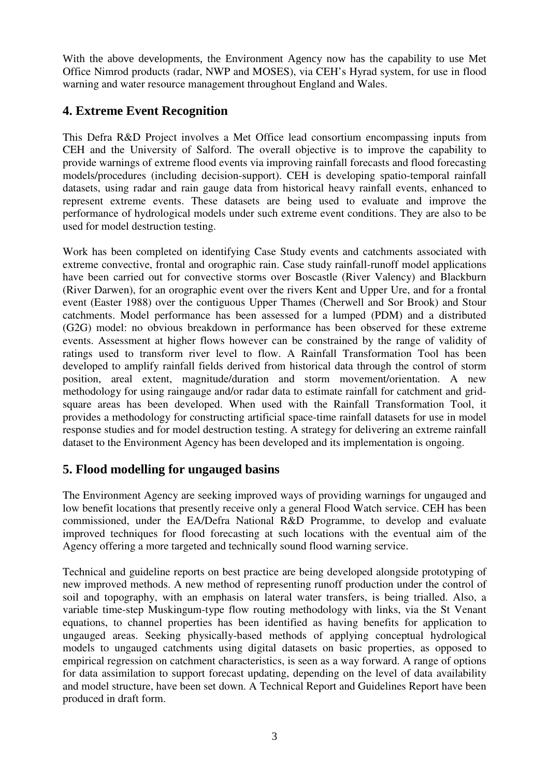With the above developments, the Environment Agency now has the capability to use Met Office Nimrod products (radar, NWP and MOSES), via CEH's Hyrad system, for use in flood warning and water resource management throughout England and Wales.

# **4. Extreme Event Recognition**

This Defra R&D Project involves a Met Office lead consortium encompassing inputs from CEH and the University of Salford. The overall objective is to improve the capability to provide warnings of extreme flood events via improving rainfall forecasts and flood forecasting models/procedures (including decision-support). CEH is developing spatio-temporal rainfall datasets, using radar and rain gauge data from historical heavy rainfall events, enhanced to represent extreme events. These datasets are being used to evaluate and improve the performance of hydrological models under such extreme event conditions. They are also to be used for model destruction testing.

Work has been completed on identifying Case Study events and catchments associated with extreme convective, frontal and orographic rain. Case study rainfall-runoff model applications have been carried out for convective storms over Boscastle (River Valency) and Blackburn (River Darwen), for an orographic event over the rivers Kent and Upper Ure, and for a frontal event (Easter 1988) over the contiguous Upper Thames (Cherwell and Sor Brook) and Stour catchments. Model performance has been assessed for a lumped (PDM) and a distributed (G2G) model: no obvious breakdown in performance has been observed for these extreme events. Assessment at higher flows however can be constrained by the range of validity of ratings used to transform river level to flow. A Rainfall Transformation Tool has been developed to amplify rainfall fields derived from historical data through the control of storm position, areal extent, magnitude/duration and storm movement/orientation. A new methodology for using raingauge and/or radar data to estimate rainfall for catchment and gridsquare areas has been developed. When used with the Rainfall Transformation Tool, it provides a methodology for constructing artificial space-time rainfall datasets for use in model response studies and for model destruction testing. A strategy for delivering an extreme rainfall dataset to the Environment Agency has been developed and its implementation is ongoing.

# **5. Flood modelling for ungauged basins**

The Environment Agency are seeking improved ways of providing warnings for ungauged and low benefit locations that presently receive only a general Flood Watch service. CEH has been commissioned, under the EA/Defra National R&D Programme, to develop and evaluate improved techniques for flood forecasting at such locations with the eventual aim of the Agency offering a more targeted and technically sound flood warning service.

Technical and guideline reports on best practice are being developed alongside prototyping of new improved methods. A new method of representing runoff production under the control of soil and topography, with an emphasis on lateral water transfers, is being trialled. Also, a variable time-step Muskingum-type flow routing methodology with links, via the St Venant equations, to channel properties has been identified as having benefits for application to ungauged areas. Seeking physically-based methods of applying conceptual hydrological models to ungauged catchments using digital datasets on basic properties, as opposed to empirical regression on catchment characteristics, is seen as a way forward. A range of options for data assimilation to support forecast updating, depending on the level of data availability and model structure, have been set down. A Technical Report and Guidelines Report have been produced in draft form.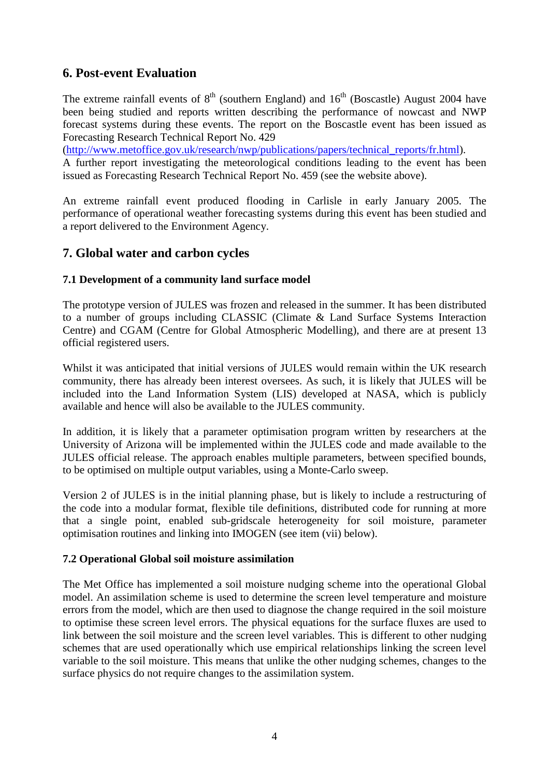### **6. Post-event Evaluation**

The extreme rainfall events of  $8<sup>th</sup>$  (southern England) and  $16<sup>th</sup>$  (Boscastle) August 2004 have been being studied and reports written describing the performance of nowcast and NWP forecast systems during these events. The report on the Boscastle event has been issued as Forecasting Research Technical Report No. 429

(http://www.metoffice.gov.uk/research/nwp/publications/papers/technical\_reports/fr.html).

A further report investigating the meteorological conditions leading to the event has been issued as Forecasting Research Technical Report No. 459 (see the website above).

An extreme rainfall event produced flooding in Carlisle in early January 2005. The performance of operational weather forecasting systems during this event has been studied and a report delivered to the Environment Agency.

### **7. Global water and carbon cycles**

### **7.1 Development of a community land surface model**

The prototype version of JULES was frozen and released in the summer. It has been distributed to a number of groups including CLASSIC (Climate & Land Surface Systems Interaction Centre) and CGAM (Centre for Global Atmospheric Modelling), and there are at present 13 official registered users.

Whilst it was anticipated that initial versions of JULES would remain within the UK research community, there has already been interest oversees. As such, it is likely that JULES will be included into the Land Information System (LIS) developed at NASA, which is publicly available and hence will also be available to the JULES community.

In addition, it is likely that a parameter optimisation program written by researchers at the University of Arizona will be implemented within the JULES code and made available to the JULES official release. The approach enables multiple parameters, between specified bounds, to be optimised on multiple output variables, using a Monte-Carlo sweep.

Version 2 of JULES is in the initial planning phase, but is likely to include a restructuring of the code into a modular format, flexible tile definitions, distributed code for running at more that a single point, enabled sub-gridscale heterogeneity for soil moisture, parameter optimisation routines and linking into IMOGEN (see item (vii) below).

#### **7.2 Operational Global soil moisture assimilation**

The Met Office has implemented a soil moisture nudging scheme into the operational Global model. An assimilation scheme is used to determine the screen level temperature and moisture errors from the model, which are then used to diagnose the change required in the soil moisture to optimise these screen level errors. The physical equations for the surface fluxes are used to link between the soil moisture and the screen level variables. This is different to other nudging schemes that are used operationally which use empirical relationships linking the screen level variable to the soil moisture. This means that unlike the other nudging schemes, changes to the surface physics do not require changes to the assimilation system.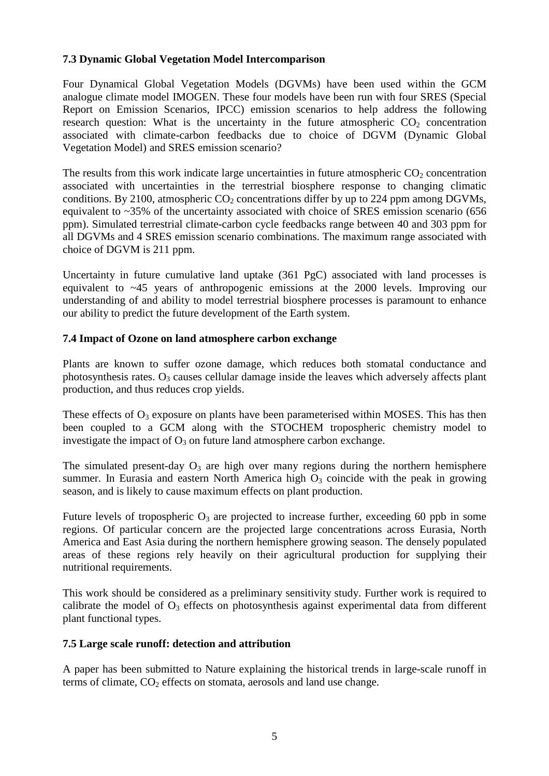#### **7.3 Dynamic Global Vegetation Model Intercomparison**

Four Dynamical Global Vegetation Models (DGVMs) have been used within the GCM analogue climate model IMOGEN. These four models have been run with four SRES (Special Report on Emission Scenarios, IPCC) emission scenarios to help address the following research question: What is the uncertainty in the future atmospheric  $CO<sub>2</sub>$  concentration associated with climate-carbon feedbacks due to choice of DGVM (Dynamic Global Vegetation Model) and SRES emission scenario?

The results from this work indicate large uncertainties in future atmospheric  $CO<sub>2</sub>$  concentration associated with uncertainties in the terrestrial biosphere response to changing climatic conditions. By 2100, atmospheric  $CO<sub>2</sub>$  concentrations differ by up to 224 ppm among DGVMs, equivalent to ~35% of the uncertainty associated with choice of SRES emission scenario (656 ppm). Simulated terrestrial climate-carbon cycle feedbacks range between 40 and 303 ppm for all DGVMs and 4 SRES emission scenario combinations. The maximum range associated with choice of DGVM is 211 ppm.

Uncertainty in future cumulative land uptake (361 PgC) associated with land processes is equivalent to ~45 years of anthropogenic emissions at the 2000 levels. Improving our understanding of and ability to model terrestrial biosphere processes is paramount to enhance our ability to predict the future development of the Earth system.

### **7.4 Impact of Ozone on land atmosphere carbon exchange**

Plants are known to suffer ozone damage, which reduces both stomatal conductance and photosynthesis rates.  $O_3$  causes cellular damage inside the leaves which adversely affects plant production, and thus reduces crop yields.

These effects of  $O_3$  exposure on plants have been parameterised within MOSES. This has then been coupled to a GCM along with the STOCHEM tropospheric chemistry model to investigate the impact of  $O_3$  on future land atmosphere carbon exchange.

The simulated present-day  $O_3$  are high over many regions during the northern hemisphere summer. In Eurasia and eastern North America high  $O_3$  coincide with the peak in growing season, and is likely to cause maximum effects on plant production.

Future levels of tropospheric  $O_3$  are projected to increase further, exceeding 60 ppb in some regions. Of particular concern are the projected large concentrations across Eurasia, North America and East Asia during the northern hemisphere growing season. The densely populated areas of these regions rely heavily on their agricultural production for supplying their nutritional requirements.

This work should be considered as a preliminary sensitivity study. Further work is required to calibrate the model of  $O_3$  effects on photosynthesis against experimental data from different plant functional types.

### **7.5 Large scale runoff: detection and attribution**

A paper has been submitted to Nature explaining the historical trends in large-scale runoff in terms of climate,  $CO<sub>2</sub>$  effects on stomata, aerosols and land use change.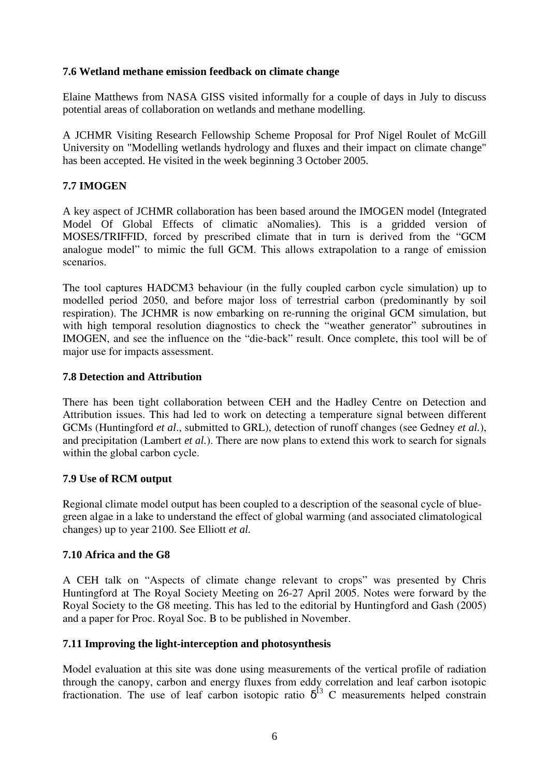#### **7.6 Wetland methane emission feedback on climate change**

Elaine Matthews from NASA GISS visited informally for a couple of days in July to discuss potential areas of collaboration on wetlands and methane modelling.

A JCHMR Visiting Research Fellowship Scheme Proposal for Prof Nigel Roulet of McGill University on "Modelling wetlands hydrology and fluxes and their impact on climate change" has been accepted. He visited in the week beginning 3 October 2005.

### **7.7 IMOGEN**

A key aspect of JCHMR collaboration has been based around the IMOGEN model (Integrated Model Of Global Effects of climatic aNomalies). This is a gridded version of MOSES/TRIFFID, forced by prescribed climate that in turn is derived from the "GCM analogue model" to mimic the full GCM. This allows extrapolation to a range of emission scenarios.

The tool captures HADCM3 behaviour (in the fully coupled carbon cycle simulation) up to modelled period 2050, and before major loss of terrestrial carbon (predominantly by soil respiration). The JCHMR is now embarking on re-running the original GCM simulation, but with high temporal resolution diagnostics to check the "weather generator" subroutines in IMOGEN, and see the influence on the "die-back" result. Once complete, this tool will be of major use for impacts assessment.

#### **7.8 Detection and Attribution**

There has been tight collaboration between CEH and the Hadley Centre on Detection and Attribution issues. This had led to work on detecting a temperature signal between different GCMs (Huntingford *et al*., submitted to GRL), detection of runoff changes (see Gedney *et al.*), and precipitation (Lambert *et al.*). There are now plans to extend this work to search for signals within the global carbon cycle.

#### **7.9 Use of RCM output**

Regional climate model output has been coupled to a description of the seasonal cycle of bluegreen algae in a lake to understand the effect of global warming (and associated climatological changes) up to year 2100. See Elliott *et al.*

### **7.10 Africa and the G8**

A CEH talk on "Aspects of climate change relevant to crops" was presented by Chris Huntingford at The Royal Society Meeting on 26-27 April 2005. Notes were forward by the Royal Society to the G8 meeting. This has led to the editorial by Huntingford and Gash (2005) and a paper for Proc. Royal Soc. B to be published in November.

### **7.11 Improving the light-interception and photosynthesis**

Model evaluation at this site was done using measurements of the vertical profile of radiation through the canopy, carbon and energy fluxes from eddy correlation and leaf carbon isotopic fractionation. The use of leaf carbon isotopic ratio  $\delta^{13}$  C measurements helped constrain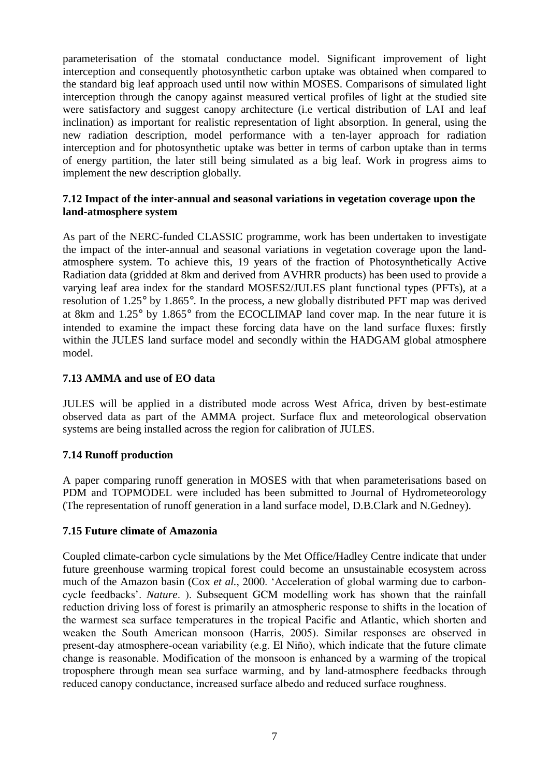parameterisation of the stomatal conductance model. Significant improvement of light interception and consequently photosynthetic carbon uptake was obtained when compared to the standard big leaf approach used until now within MOSES. Comparisons of simulated light interception through the canopy against measured vertical profiles of light at the studied site were satisfactory and suggest canopy architecture (i.e vertical distribution of LAI and leaf inclination) as important for realistic representation of light absorption. In general, using the new radiation description, model performance with a ten-layer approach for radiation interception and for photosynthetic uptake was better in terms of carbon uptake than in terms of energy partition, the later still being simulated as a big leaf. Work in progress aims to implement the new description globally.

#### **7.12 Impact of the inter-annual and seasonal variations in vegetation coverage upon the land-atmosphere system**

As part of the NERC-funded CLASSIC programme, work has been undertaken to investigate the impact of the inter-annual and seasonal variations in vegetation coverage upon the landatmosphere system. To achieve this, 19 years of the fraction of Photosynthetically Active Radiation data (gridded at 8km and derived from AVHRR products) has been used to provide a varying leaf area index for the standard MOSES2/JULES plant functional types (PFTs), at a resolution of 1.25° by 1.865°. In the process, a new globally distributed PFT map was derived at 8km and 1.25° by 1.865° from the ECOCLIMAP land cover map. In the near future it is intended to examine the impact these forcing data have on the land surface fluxes: firstly within the JULES land surface model and secondly within the HADGAM global atmosphere model.

### **7.13 AMMA and use of EO data**

JULES will be applied in a distributed mode across West Africa, driven by best-estimate observed data as part of the AMMA project. Surface flux and meteorological observation systems are being installed across the region for calibration of JULES.

### **7.14 Runoff production**

A paper comparing runoff generation in MOSES with that when parameterisations based on PDM and TOPMODEL were included has been submitted to Journal of Hydrometeorology (The representation of runoff generation in a land surface model, D.B.Clark and N.Gedney).

#### **7.15 Future climate of Amazonia**

Coupled climate-carbon cycle simulations by the Met Office/Hadley Centre indicate that under future greenhouse warming tropical forest could become an unsustainable ecosystem across much of the Amazon basin (Cox *et al.*, 2000. 'Acceleration of global warming due to carboncycle feedbacks'. *Nature*. ). Subsequent GCM modelling work has shown that the rainfall reduction driving loss of forest is primarily an atmospheric response to shifts in the location of the warmest sea surface temperatures in the tropical Pacific and Atlantic, which shorten and weaken the South American monsoon (Harris, 2005). Similar responses are observed in present-day atmosphere-ocean variability (e.g. El Niño), which indicate that the future climate change is reasonable. Modification of the monsoon is enhanced by a warming of the tropical troposphere through mean sea surface warming, and by land-atmosphere feedbacks through reduced canopy conductance, increased surface albedo and reduced surface roughness.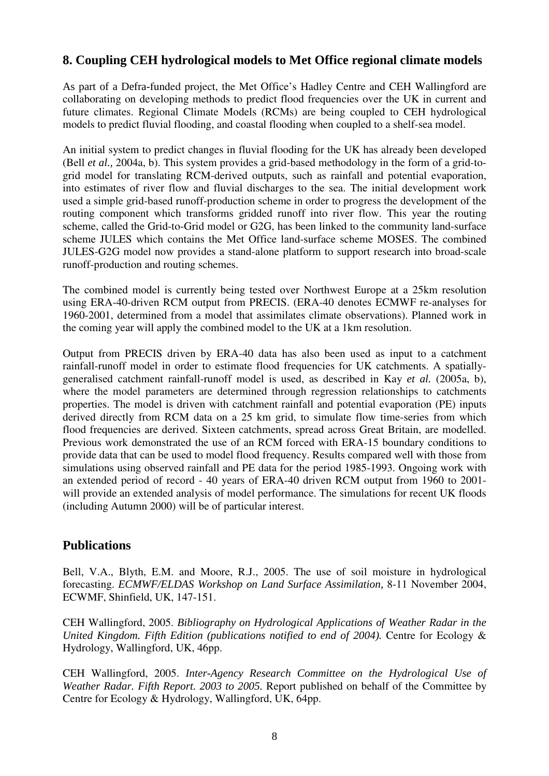# **8. Coupling CEH hydrological models to Met Office regional climate models**

As part of a Defra-funded project, the Met Office's Hadley Centre and CEH Wallingford are collaborating on developing methods to predict flood frequencies over the UK in current and future climates. Regional Climate Models (RCMs) are being coupled to CEH hydrological models to predict fluvial flooding, and coastal flooding when coupled to a shelf-sea model.

An initial system to predict changes in fluvial flooding for the UK has already been developed (Bell *et al.,* 2004a, b). This system provides a grid-based methodology in the form of a grid-togrid model for translating RCM-derived outputs, such as rainfall and potential evaporation, into estimates of river flow and fluvial discharges to the sea. The initial development work used a simple grid-based runoff-production scheme in order to progress the development of the routing component which transforms gridded runoff into river flow. This year the routing scheme, called the Grid-to-Grid model or G2G, has been linked to the community land-surface scheme JULES which contains the Met Office land-surface scheme MOSES. The combined JULES-G2G model now provides a stand-alone platform to support research into broad-scale runoff-production and routing schemes.

The combined model is currently being tested over Northwest Europe at a 25km resolution using ERA-40-driven RCM output from PRECIS. (ERA-40 denotes ECMWF re-analyses for 1960-2001, determined from a model that assimilates climate observations). Planned work in the coming year will apply the combined model to the UK at a 1km resolution.

Output from PRECIS driven by ERA-40 data has also been used as input to a catchment rainfall-runoff model in order to estimate flood frequencies for UK catchments. A spatiallygeneralised catchment rainfall-runoff model is used, as described in Kay *et al.* (2005a, b), where the model parameters are determined through regression relationships to catchments properties. The model is driven with catchment rainfall and potential evaporation (PE) inputs derived directly from RCM data on a 25 km grid, to simulate flow time-series from which flood frequencies are derived. Sixteen catchments, spread across Great Britain, are modelled. Previous work demonstrated the use of an RCM forced with ERA-15 boundary conditions to provide data that can be used to model flood frequency. Results compared well with those from simulations using observed rainfall and PE data for the period 1985-1993. Ongoing work with an extended period of record - 40 years of ERA-40 driven RCM output from 1960 to 2001 will provide an extended analysis of model performance. The simulations for recent UK floods (including Autumn 2000) will be of particular interest.

### **Publications**

Bell, V.A., Blyth, E.M. and Moore, R.J., 2005. The use of soil moisture in hydrological forecasting. *ECMWF/ELDAS Workshop on Land Surface Assimilation,* 8-11 November 2004, ECWMF, Shinfield, UK, 147-151.

CEH Wallingford, 2005. *Bibliography on Hydrological Applications of Weather Radar in the United Kingdom. Fifth Edition (publications notified to end of 2004).* Centre for Ecology & Hydrology, Wallingford, UK, 46pp.

CEH Wallingford, 2005. *Inter-Agency Research Committee on the Hydrological Use of Weather Radar. Fifth Report. 2003 to 2005.* Report published on behalf of the Committee by Centre for Ecology & Hydrology, Wallingford, UK, 64pp.